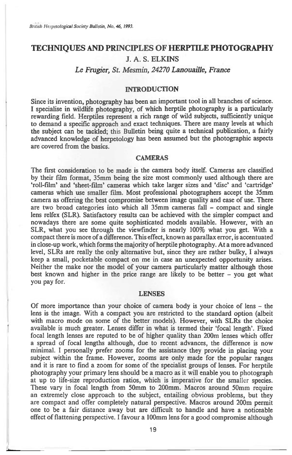# **TECHNIQUES AND PRINCIPLES OF HERPTILE PHOTOGRAPHY J. A. S. ELKINS**

*Le Frugier, St. Mesmin, 24270 Lanouaille, France* 

## **INTRODUCTION**

**Since its invention, photography has been an important tool in all branches of science. I specialise in wildlife photography, of which herptile photography is a particularly rewarding field. Herptiles represent a rich range of wild subjects, sufficiently unique to demand a specific approach and exact techniques. There are many levels at which the subject can be tackled; this Bulletin being quite a technical publication, a fairly advanced knowledge of herpetology has been assumed but the photographic aspects are covered from the basics.** 

#### **CAMERAS**

**The first consideration to be made is the camera body itself. Cameras are classified by their film format, 35mm being the size most commonly used although there are `roll-film' and 'sheet-film' cameras which take larger sizes and 'disc' and 'cartridge' cameras which use smaller film. Most professional photographers accept the 35mm camera as offering the best compromise between image quality and ease of use. There are two broad categories into which all 35mm cameras fall — compact and single lens relfex (SLR). Satisfactory results can be achieved with the simpler compact and nowadays there are some quite sophisticated models available. However, with an SLR, what you see through the viewfinder is nearly 100% what you get. With a compact there is more of a difference. This effect, known as parallax error, is accentuated in close-up work, which forms the majority of herptile photography. At a more advanced level, SLRs are really the only alternative but, since they are rather bulky, I always keep a small, pocketable compact on me in case an unexpected opportunity arises. Neither the make nor the model of your camera particularly matter although those best known and higher in the price range are likely to be better — you get what you pay for.** 

#### **LENSES**

**Of more importance than your choice of camera body is your choice of lens — the lens is the image. With a compact you are restricted to the standard option (albeit with macro mode on some of the better models). However, with SLRs the choice available is much greater. Lenses differ in what is termed their 'focal length'. Fixed focal length lenses are reputed to be of higher quality than 200m lenses which offer a spread of focal lengths although, due to recent advances, the difference is now minimal. I personally prefer zooms for the assistance they provide in placing your subject within the frame. However, zooms are only made for the popular ranges and it is rare to find a zoom for some of the specialist groups of lenses. For herptile photography your primary lens should be a macro as it will enable you to photograph at up to life-size reproduction ratios, which is imperative for the smaller species. These vary in focal length from 50mm to 200mm. Macros around 50mm require an extremely close approach to the subject, entailing obvious problems, but they are compact and offer completely natural perspective. Macros around 200m permit one to be a fair distance away but are difficult to handle and have a noticeable effect of flattening perspective. I favour a 100mm lens for a good compromise although**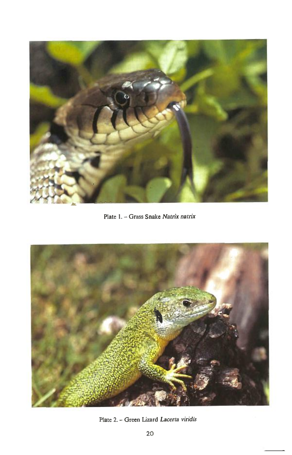

Plate 1. - Grass Snake *Natrix natrix* 



Plate 2. - Green Lizard *Lacerta viridis*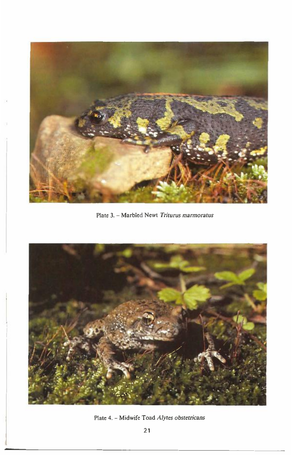

Plate 3. - Marbled Newt *Triturus marmoratus* 



Plate 4. - Midwife Toad *Alytes obstetricans*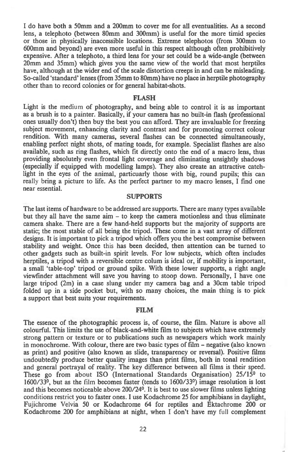**I do have both a 50mm and a 200mm to cover me for all eventualities. As a second lens, a telephoto (between 80mm and 300mm) is useful for the more timid species or those in physically inaccessible locations. Extreme telephotos (from 300mm to 600mm and beyond) are even more useful in this respect although often prohibitively expensive. After a telephoto, a third lens for your set could be a wide-angle (between 20mm and 35mm) which gives you the same view of the world that most herptiles have, although at the wider end of the scale distortion creeps in and can be misleading. So-called 'standard' lenses (from 35mm to 80mm) have no place in herptile photography other than to record colonies or for general habitat-shots.** 

## **FLASH**

**Light is the medium of photography, and being able to control it is as important as a brush is to a painter. Basically, if your camera has no built-in flash (professional ones usually don't) then buy the best you can afford. They are invaluable for freezing subject movement, enhancing clarity and contrast and for promoting correct colour rendition. With many cameras, several flashes can be connected simultaneously, enabling perfect night shots, of mating toads, for example. Specialist flashes are also available, such as ring flashes, which fit directly onto the end of a macro lens, thus providing absolutely even frontal light coverage and eliminating unsightly shadows (especially if equipped with modelling lamps). They also create an attractive catchlight in the eyes of the animal, particuarly those with big, round pupils; this can really bring a picture to life. As the perfect partner to my macro lenses, I find one near essential.** 

#### **SUPPORTS**

**The last items of hardware to be addressed are supports. There are many types available but they all have the same aim — to keep the camera motionless and thus eliminate camera shake. There are a few hand-held supports but the majority of supports are static; the most stable of all being the tripod. These come in a vast array of different designs. It is important to pick a tripod which offers you the best compromise between stability and weight. Once** this **has been decided, then attention can be turned to other gadgets such as built-in spirit levels. For low subjects, which often includes herptiles, a tripod with a reversible centre colum is ideal or, if mobility is important, a small 'table-top' tripod or ground spike. With these lower supports, a right angle viewfinder attachment will save you having to stoop down. Personally, I have one large tripod (2m) in a case slung under my camera bag and a 30cm table tripod folded up in a side pocket but, with so many choices, the main thing is to pick a support that best suits your requirements.** 

#### **FILM**

**The essence of the photographic process is, of course, the film. Nature is above all colourful. This limits the use of black-and-white film to subjects which have extremely strong pattern or texture or to publications such as newspapers which work mainly in monochrome. With colour, there are two basic types of film — negative (also known as print) and positive (also known as slide, transparency or reversal). Positive films undoubtedly produce better quality images than print films, both in tonal rendition and general portrayal of reality. The key difference between all films is their speed. These go from about ISO (International Standards Organisation) 25/15° to 1600/33°, but as the film becomes faster (tends to 1600/33°) image resolution is lost and this becomes noticeable above 200/24°. It is best to use slower films unless lighting conditions restrict you to faster ones. I use Kodachrome 25 for amphibians in daylight, Fujichrome Velvia 50 or Kodachrome 64 for reptiles and Ektachrome 200 or Kodachrome 200 for amphibians at night, when I don't have my** full **complement**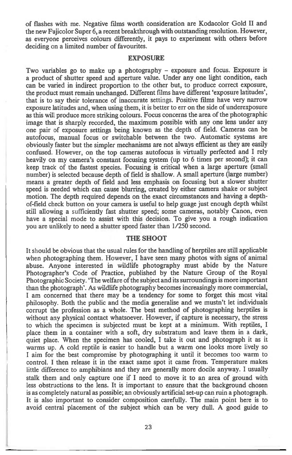**of flashes with me. Negative films worth consideration are Kodacolor Gold H and the new Fujicolor Super 6, a recent breakthrough with outstanding resolution. However, as everyone perceives colours differently, it pays to experiment with others before deciding on a limited number of favourites.** 

#### **EXPOSURE**

**Two variables go to make up a photography — exposure and focus. Exposure is a product of shutter speed and aperture value. Under any one light condition, each can be varied in indirect proportion to the other but, to produce correct exposure, the product must remain unchanged. Different films have different 'exposure latitudes', that is to say their tolerance of inaccurate** settings. **Positive films have very narrow exposure latitudes and, when using them, it is better to err on the side of underexposure as this will produce more striking colours. Focus concerns the area of the photographic image that is sharply recorded, the maximum possible with any one lens under any one pair of exposure settings being known as the depth of field. Cameras can be autofocus, manual focus or switchable between the two. Automatic systems are obviously faster but the simpler mechanisms are not always efficient as they are easily confused. However, on the top cameras autofocus is virtually perfected and I rely heavily on my camera's constant focusing system (up to 6 times per second); it can keep track of the fastest species. Focusing is critical when a large aperture (small number) is selected because depth of field is shallow. A small aperture (large number) means a greater depth of field and less emphasis on focusing but a slower shutter speed is needed which can cause blurring, created by either camera shake or subject motion. The depth required depends on the exact circumstances and having a depthof-field check button on your camera is useful to help guage just enough depth whilst still allowing a sufficiently fast shutter speed; some cameras, notably Canon, even have a special mode to assist with this decision. To give you a rough indication you are unlikely to need a shutter speed faster than 1/250 second.** 

#### **THE SHOOT**

**It should be obvious that the usual rules for the handling of herptiles are still applicable when photographing them. However, I have seen many photos with signs of animal abuse. Anyone interested in wildlife photography must abide by the Nature Photographer's Code of Practice, published by the Nature Group of the Royal Photographic Society. 'The welfare of the subject and its surroundings is more important than the photograph'. As wildlife photography becomes increasingly more commercial, I am concerned that there may be a tendency for some to forget this most vital philosophy. Both the public and the media generalise and we mustn't let individuals corrupt the profession as a whole. The best method of photographing herptiles is without any physical contact whatsoever. However, if capture is necessary, the stress to which the specimen is subjected must be kept at a minimum. With reptiles, I place them in a container with a soft, dry substratum and leave them in a dark, quiet place. When the specimen has cooled, I take it out and photograph it as it warms up. A cold reptile is easier to handle but a warm one looks more lively so I aim for the best compromise by photographing it until it becomes too warm to control. I then release it in the exact same spot it came from. Temperature makes little difference to amphibians and they are generally more docile anyway. I usually stalk them and only capture one if I need to move it to an area of ground with less obstructions to the lens. It is important to ensure that the background chosen is as completely natural as possible; an obviously artificial set-up can ruin a photograph. It is also important to consider composition carefully. The main point here is to avoid central placement of the subject which can be very dull. A good guide to**